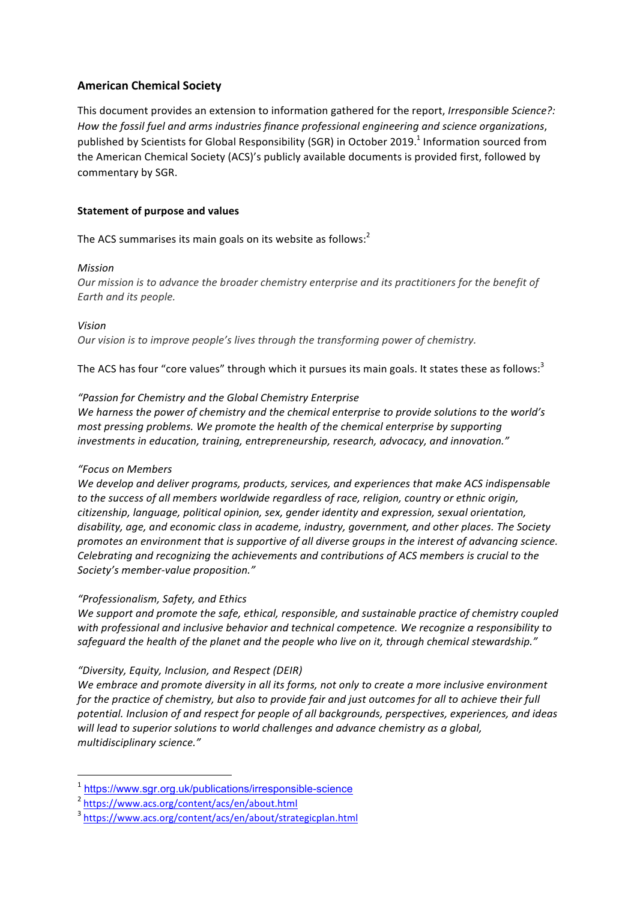# **American Chemical Society**

This document provides an extension to information gathered for the report, *Irresponsible Science?*: How the fossil fuel and arms industries finance professional engineering and science organizations, published by Scientists for Global Responsibility (SGR) in October 2019.<sup>1</sup> Information sourced from the American Chemical Society (ACS)'s publicly available documents is provided first, followed by commentary by SGR.

### **Statement of purpose and values**

The ACS summarises its main goals on its website as follows: $<sup>2</sup>$ </sup>

### *Mission*

*Our mission is to advance the broader chemistry enterprise and its practitioners for the benefit of Earth and its people.*

*Vision*

*Our vision is to improve people's lives through the transforming power of chemistry.* 

The ACS has four "core values" through which it pursues its main goals. It states these as follows:<sup>3</sup>

### *"Passion for Chemistry and the Global Chemistry Enterprise*

We harness the power of chemistry and the chemical enterprise to provide solutions to the world's *most pressing problems. We promote the health of the chemical enterprise by supporting* investments in education, training, entrepreneurship, research, advocacy, and innovation."

### *"Focus on Members*

We develop and deliver programs, products, services, and experiences that make ACS indispensable *to* the success of all members worldwide regardless of race, religion, country or ethnic origin, citizenship, language, political opinion, sex, gender identity and expression, sexual orientation, disability, age, and economic class in academe, industry, government, and other places. The Society *promotes an environment that is supportive of all diverse groups in the interest of advancing science.* Celebrating and recognizing the achievements and contributions of ACS members is crucial to the *Society's member-value proposition."*

### *"Professionalism, Safety, and Ethics*

We support and promote the safe, ethical, responsible, and sustainable practice of chemistry coupled with professional and inclusive behavior and technical competence. We recognize a responsibility to safeguard the health of the planet and the people who live on it, through chemical stewardship."

### *"Diversity, Equity, Inclusion, and Respect (DEIR)*

We embrace and promote diversity in all its forms, not only to create a more inclusive environment *for* the practice of chemistry, but also to provide fair and just outcomes for all to achieve their full potential. Inclusion of and respect for people of all backgrounds, perspectives, experiences, and ideas will lead to superior solutions to world challenges and advance chemistry as a global, *multidisciplinary science."*

<sup>1</sup> https://www.sgr.org.uk/publications/irresponsible-science

<sup>2</sup> https://www.acs.org/content/acs/en/about.html

<sup>3</sup> https://www.acs.org/content/acs/en/about/strategicplan.html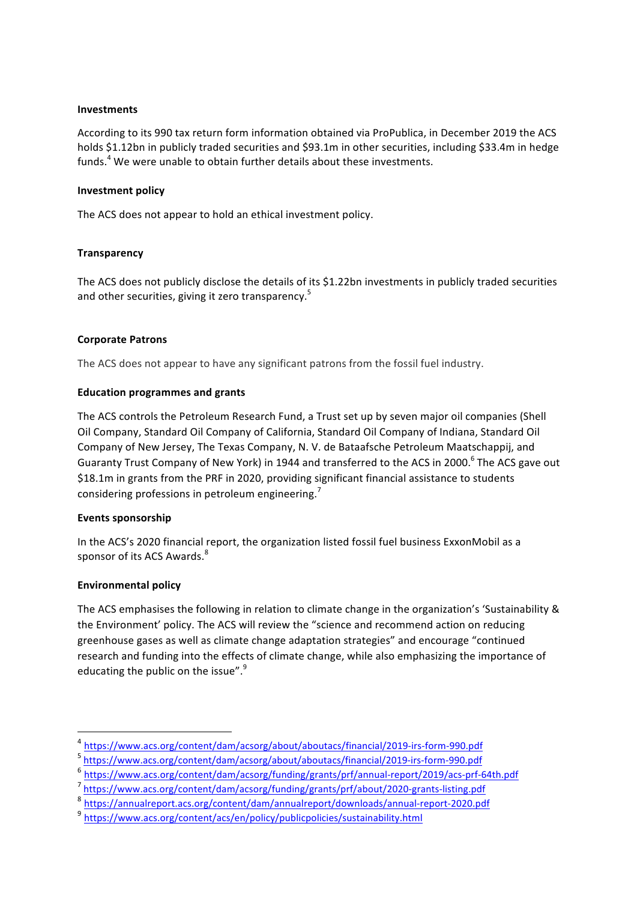### **Investments**

According to its 990 tax return form information obtained via ProPublica, in December 2019 the ACS holds \$1.12bn in publicly traded securities and \$93.1m in other securities, including \$33.4m in hedge funds.<sup>4</sup> We were unable to obtain further details about these investments.

#### **Investment policy**

The ACS does not appear to hold an ethical investment policy.

### **Transparency**

The ACS does not publicly disclose the details of its \$1.22bn investments in publicly traded securities and other securities, giving it zero transparency.<sup>5</sup>

### **Corporate Patrons**

The ACS does not appear to have any significant patrons from the fossil fuel industry.

### **Education programmes and grants**

The ACS controls the Petroleum Research Fund, a Trust set up by seven major oil companies (Shell Oil Company, Standard Oil Company of California, Standard Oil Company of Indiana, Standard Oil Company of New Jersey, The Texas Company, N. V. de Bataafsche Petroleum Maatschappij, and Guaranty Trust Company of New York) in 1944 and transferred to the ACS in 2000.<sup>6</sup> The ACS gave out \$18.1m in grants from the PRF in 2020, providing significant financial assistance to students considering professions in petroleum engineering.<sup>7</sup>

### **Events sponsorship**

In the ACS's 2020 financial report, the organization listed fossil fuel business ExxonMobil as a sponsor of its ACS Awards.<sup>8</sup>

### **Environmental policy**

 

The ACS emphasises the following in relation to climate change in the organization's 'Sustainability & the Environment' policy. The ACS will review the "science and recommend action on reducing greenhouse gases as well as climate change adaptation strategies" and encourage "continued research and funding into the effects of climate change, while also emphasizing the importance of educating the public on the issue". $9$ 

<sup>4</sup> https://www.acs.org/content/dam/acsorg/about/aboutacs/financial/2019-irs-form-990.pdf

<sup>5</sup> https://www.acs.org/content/dam/acsorg/about/aboutacs/financial/2019-irs-form-990.pdf

<sup>6</sup> https://www.acs.org/content/dam/acsorg/funding/grants/prf/annual-report/2019/acs-prf-64th.pdf

<sup>7</sup> https://www.acs.org/content/dam/acsorg/funding/grants/prf/about/2020-grants-listing.pdf

<sup>8</sup> https://annualreport.acs.org/content/dam/annualreport/downloads/annual-report-2020.pdf

<sup>9</sup> https://www.acs.org/content/acs/en/policy/publicpolicies/sustainability.html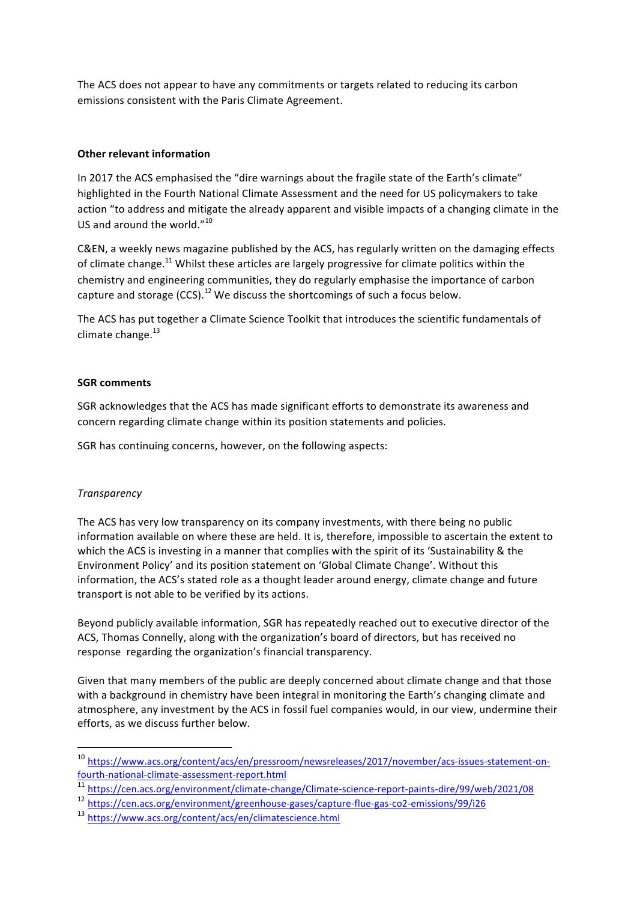The ACS does not appear to have any commitments or targets related to reducing its carbon emissions consistent with the Paris Climate Agreement.

## **Other relevant information**

In 2017 the ACS emphasised the "dire warnings about the fragile state of the Earth's climate" highlighted in the Fourth National Climate Assessment and the need for US policymakers to take action "to address and mitigate the already apparent and visible impacts of a changing climate in the US and around the world."<sup>10</sup>

C&EN, a weekly news magazine published by the ACS, has regularly written on the damaging effects of climate change.<sup>11</sup> Whilst these articles are largely progressive for climate politics within the chemistry and engineering communities, they do regularly emphasise the importance of carbon capture and storage  $(CCS)$ .<sup>12</sup> We discuss the shortcomings of such a focus below.

The ACS has put together a Climate Science Toolkit that introduces the scientific fundamentals of climate change. $^{13}$ 

## **SGR** comments

SGR acknowledges that the ACS has made significant efforts to demonstrate its awareness and concern regarding climate change within its position statements and policies.

SGR has continuing concerns, however, on the following aspects:

### *Transparency*

The ACS has very low transparency on its company investments, with there being no public information available on where these are held. It is, therefore, impossible to ascertain the extent to which the ACS is investing in a manner that complies with the spirit of its 'Sustainability & the Environment Policy' and its position statement on 'Global Climate Change'. Without this information, the ACS's stated role as a thought leader around energy, climate change and future transport is not able to be verified by its actions.

Beyond publicly available information, SGR has repeatedly reached out to executive director of the ACS, Thomas Connelly, along with the organization's board of directors, but has received no response regarding the organization's financial transparency.

Given that many members of the public are deeply concerned about climate change and that those with a background in chemistry have been integral in monitoring the Earth's changing climate and atmosphere, any investment by the ACS in fossil fuel companies would, in our view, undermine their efforts, as we discuss further below.

<sup>10</sup> https://www.acs.org/content/acs/en/pressroom/newsreleases/2017/november/acs-issues-statement-onfourth-national-climate-assessment-report.html

<sup>11</sup> https://cen.acs.org/environment/climate-change/Climate-science-report-paints-dire/99/web/2021/08

<sup>12</sup> https://cen.acs.org/environment/greenhouse-gases/capture-flue-gas-co2-emissions/99/i26

<sup>13</sup> https://www.acs.org/content/acs/en/climatescience.html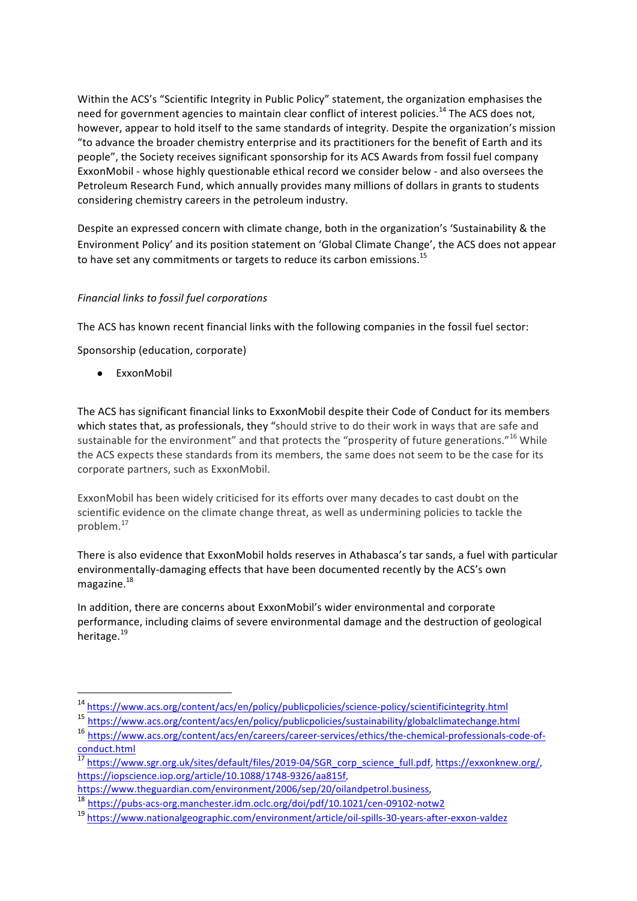Within the ACS's "Scientific Integrity in Public Policy" statement, the organization emphasises the need for government agencies to maintain clear conflict of interest policies.<sup>14</sup> The ACS does not. however, appear to hold itself to the same standards of integrity. Despite the organization's mission "to advance the broader chemistry enterprise and its practitioners for the benefit of Earth and its people", the Society receives significant sponsorship for its ACS Awards from fossil fuel company ExxonMobil - whose highly questionable ethical record we consider below - and also oversees the Petroleum Research Fund, which annually provides many millions of dollars in grants to students considering chemistry careers in the petroleum industry.

Despite an expressed concern with climate change, both in the organization's 'Sustainability & the Environment Policy' and its position statement on 'Global Climate Change', the ACS does not appear to have set any commitments or targets to reduce its carbon emissions.<sup>15</sup>

# *Financial links to fossil fuel corporations*

The ACS has known recent financial links with the following companies in the fossil fuel sector:

Sponsorship (education, corporate)

 

● ExxonMobil

The ACS has significant financial links to ExxonMobil despite their Code of Conduct for its members which states that, as professionals, they "should strive to do their work in ways that are safe and sustainable for the environment" and that protects the "prosperity of future generations."<sup>16</sup> While the ACS expects these standards from its members, the same does not seem to be the case for its corporate partners, such as ExxonMobil.

ExxonMobil has been widely criticised for its efforts over many decades to cast doubt on the scientific evidence on the climate change threat, as well as undermining policies to tackle the problem.<sup>17</sup>

There is also evidence that ExxonMobil holds reserves in Athabasca's tar sands, a fuel with particular environmentally-damaging effects that have been documented recently by the ACS's own magazine. 18

In addition, there are concerns about ExxonMobil's wider environmental and corporate performance, including claims of severe environmental damage and the destruction of geological heritage.<sup>19</sup>

<sup>14</sup> https://www.acs.org/content/acs/en/policy/publicpolicies/science-policy/scientificintegrity.html

<sup>15</sup> https://www.acs.org/content/acs/en/policy/publicpolicies/sustainability/globalclimatechange.html

<sup>16</sup> https://www.acs.org/content/acs/en/careers/career-services/ethics/the-chemical-professionals-code-ofconduct.html

<sup>17</sup> https://www.sgr.org.uk/sites/default/files/2019-04/SGR\_corp\_science\_full.pdf, https://exxonknew.org/, https://iopscience.iop.org/article/10.1088/1748-9326/aa815f, 

https://www.theguardian.com/environment/2006/sep/20/oilandpetrol.business, 

<sup>18</sup> https://pubs-acs-org.manchester.idm.oclc.org/doi/pdf/10.1021/cen-09102-notw2

<sup>19</sup> https://www.nationalgeographic.com/environment/article/oil-spills-30-years-after-exxon-valdez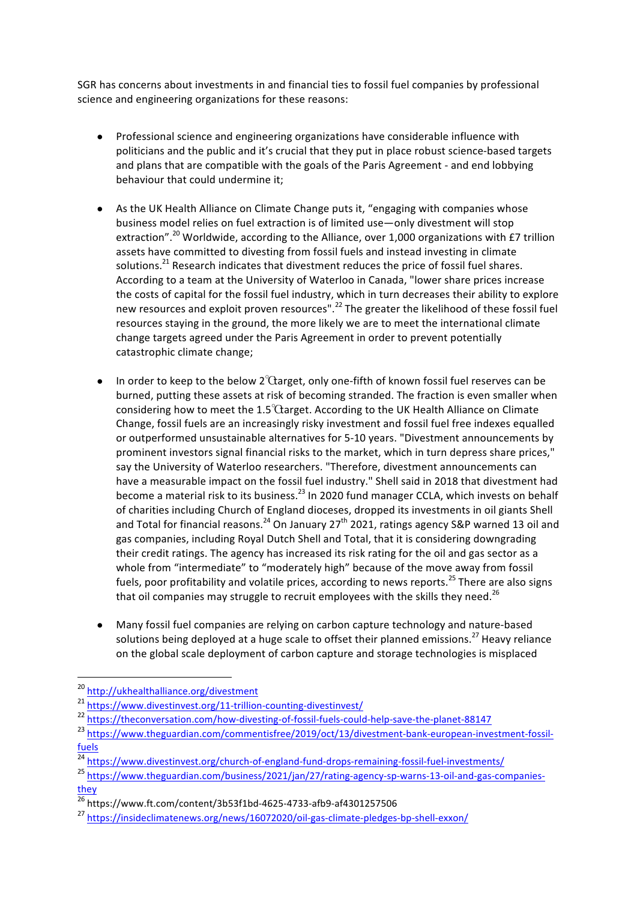SGR has concerns about investments in and financial ties to fossil fuel companies by professional science and engineering organizations for these reasons:

- Professional science and engineering organizations have considerable influence with politicians and the public and it's crucial that they put in place robust science-based targets and plans that are compatible with the goals of the Paris Agreement - and end lobbying behaviour that could undermine it;
- As the UK Health Alliance on Climate Change puts it, "engaging with companies whose business model relies on fuel extraction is of limited use—only divestment will stop extraction".<sup>20</sup> Worldwide, according to the Alliance, over 1,000 organizations with £7 trillion assets have committed to divesting from fossil fuels and instead investing in climate solutions.<sup>21</sup> Research indicates that divestment reduces the price of fossil fuel shares. According to a team at the University of Waterloo in Canada, "lower share prices increase the costs of capital for the fossil fuel industry, which in turn decreases their ability to explore new resources and exploit proven resources".<sup>22</sup> The greater the likelihood of these fossil fuel resources staying in the ground, the more likely we are to meet the international climate change targets agreed under the Paris Agreement in order to prevent potentially catastrophic climate change;
- In order to keep to the below  $2^{\circ}$  Ctarget, only one-fifth of known fossil fuel reserves can be burned, putting these assets at risk of becoming stranded. The fraction is even smaller when considering how to meet the  $1.5^{\circ}$ Carget. According to the UK Health Alliance on Climate Change, fossil fuels are an increasingly risky investment and fossil fuel free indexes equalled or outperformed unsustainable alternatives for 5-10 years. "Divestment announcements by prominent investors signal financial risks to the market, which in turn depress share prices," say the University of Waterloo researchers. "Therefore, divestment announcements can have a measurable impact on the fossil fuel industry." Shell said in 2018 that divestment had become a material risk to its business.<sup>23</sup> In 2020 fund manager CCLA, which invests on behalf of charities including Church of England dioceses, dropped its investments in oil giants Shell and Total for financial reasons.<sup>24</sup> On January 27<sup>th</sup> 2021, ratings agency S&P warned 13 oil and gas companies, including Royal Dutch Shell and Total, that it is considering downgrading their credit ratings. The agency has increased its risk rating for the oil and gas sector as a whole from "intermediate" to "moderately high" because of the move away from fossil fuels, poor profitability and volatile prices, according to news reports.<sup>25</sup> There are also signs that oil companies may struggle to recruit employees with the skills they need.<sup>26</sup>
- Many fossil fuel companies are relying on carbon capture technology and nature-based solutions being deployed at a huge scale to offset their planned emissions.<sup>27</sup> Heavy reliance on the global scale deployment of carbon capture and storage technologies is misplaced

<sup>20</sup> http://ukhealthalliance.org/divestment

<sup>21</sup> https://www.divestinvest.org/11-trillion-counting-divestinvest/

<sup>22&</sup>lt;br>https://theconversation.com/how-divesting-of-fossil-fuels-could-help-save-the-planet-88147

<sup>23</sup> https://www.theguardian.com/commentisfree/2019/oct/13/divestment-bank-european-investment-fossilfuels

<sup>&</sup>lt;sup>24</sup> https://www.divestinvest.org/church-of-england-fund-drops-remaining-fossil-fuel-investments/

<sup>25</sup> https://www.theguardian.com/business/2021/jan/27/rating-agency-sp-warns-13-oil-and-gas-companiesthey

 $\frac{26}{16}$ https://www.ft.com/content/3b53f1bd-4625-4733-afb9-af4301257506

<sup>27</sup> https://insideclimatenews.org/news/16072020/oil-gas-climate-pledges-bp-shell-exxon/